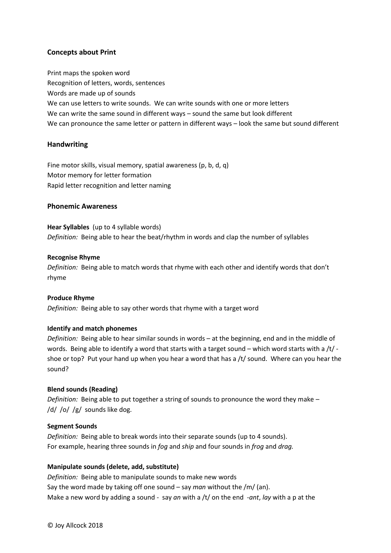# **Concepts about Print**

Print maps the spoken word Recognition of letters, words, sentences Words are made up of sounds We can use letters to write sounds. We can write sounds with one or more letters We can write the same sound in different ways – sound the same but look different We can pronounce the same letter or pattern in different ways – look the same but sound different

# **Handwriting**

Fine motor skills, visual memory, spatial awareness (p, b, d, q) Motor memory for letter formation Rapid letter recognition and letter naming

### **Phonemic Awareness**

**Hear Syllables** (up to 4 syllable words) *Definition:* Being able to hear the beat/rhythm in words and clap the number of syllables

#### **Recognise Rhyme**

*Definition:* Being able to match words that rhyme with each other and identify words that don't rhyme

#### **Produce Rhyme**

*Definition:* Being able to say other words that rhyme with a target word

#### **Identify and match phonemes**

*Definition:* Being able to hear similar sounds in words – at the beginning, end and in the middle of words. Being able to identify a word that starts with a target sound – which word starts with a /t/ shoe or top? Put your hand up when you hear a word that has a /t/ sound. Where can you hear the sound?

### **Blend sounds (Reading)**

*Definition:* Being able to put together a string of sounds to pronounce the word they make – /d/ /o/ /g/ sounds like dog.

#### **Segment Sounds**

*Definition:* Being able to break words into their separate sounds (up to 4 sounds). For example, hearing three sounds in *fog* and *ship* and four sounds in *frog* and *drag.*

### **Manipulate sounds (delete, add, substitute)**

*Definition:* Being able to manipulate sounds to make new words Say the word made by taking off one sound – say *man* without the /m/ (an). Make a new word by adding a sound - say *an* with a /t/ on the end -*ant*, *lay* with a p at the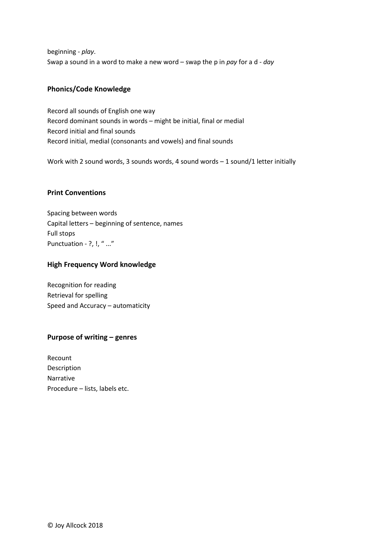beginning - *play*. Swap a sound in a word to make a new word – swap the p in *pay* for a d - *day*

# **Phonics/Code Knowledge**

Record all sounds of English one way Record dominant sounds in words – might be initial, final or medial Record initial and final sounds Record initial, medial (consonants and vowels) and final sounds

Work with 2 sound words, 3 sounds words, 4 sound words - 1 sound/1 letter initially

# **Print Conventions**

Spacing between words Capital letters – beginning of sentence, names Full stops Punctuation - ?, !, " ..."

# **High Frequency Word knowledge**

Recognition for reading Retrieval for spelling Speed and Accuracy – automaticity

# **Purpose of writing – genres**

Recount Description Narrative Procedure – lists, labels etc.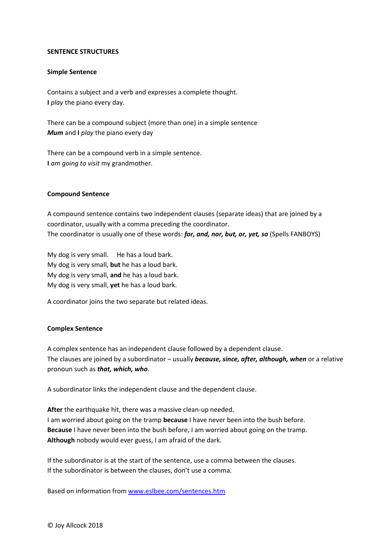#### **SENTENCE STRUCTURES**

#### **Simple Sentence**

Contains a subject and a verb and expresses a complete thought. **I** *play* the piano every day.

There can be a compound subject (more than one) in a simple sentence *Mum* and **I** *play* the piano every day

There can be a compound verb in a simple sentence. **I** *am going to visit* my grandmother.

### **Compound Sentence**

A compound sentence contains two independent clauses (separate ideas) that are joined by a coordinator, usually with a comma preceding the coordinator. The coordinator is usually one of these words: *for, and, nor, but, or, yet, so* (Spells FANBOYS)

My dog is very small. He has a loud bark. My dog is very small, **but** he has a loud bark. My dog is very small, **and** he has a loud bark. My dog is very small, **yet** he has a loud bark.

A coordinator joins the two separate but related ideas.

### **Complex Sentence**

A complex sentence has an independent clause followed by a dependent clause. The clauses are joined by a subordinator – usually *because, since, after, although, when* or a relative pronoun such as *that, which, who*.

A subordinator links the independent clause and the dependent clause.

**After** the earthquake hit, there was a massive clean-up needed. I am worried about going on the tramp **because** I have never been into the bush before. **Because** I have never been into the bush before, I am worried about going on the tramp. **Although** nobody would ever guess, I am afraid of the dark.

If the subordinator is at the start of the sentence, use a comma between the clauses. If the subordinator is between the clauses, don't use a comma.

Based on information from [www.eslbee.com/sentences.htm](http://www.eslbee.com/sentences.htm)